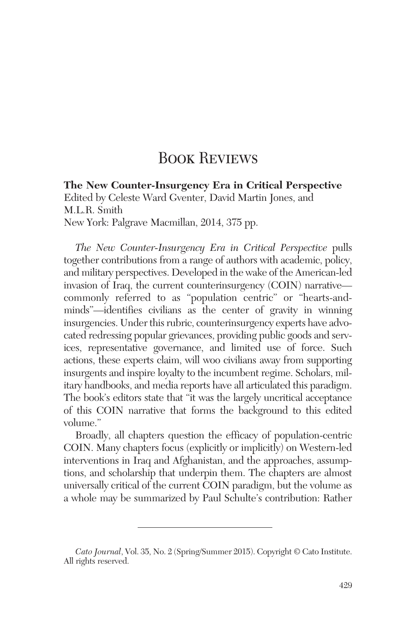## **BOOK REVIEWS**

**The New Counter-Insurgency Era in Critical Perspective** Edited by Celeste Ward Gventer, David Martin Jones, and M.L.R. Smith New York: Palgrave Macmillan, 2014, 375 pp.

*The New Counter-Insurgency Era in Critical Perspective* pulls together contributions from a range of authors with academic, policy, and military perspectives. Developed in the wake of the American-led invasion of Iraq, the current counterinsurgency (COIN) narrative commonly referred to as "population centric" or "hearts-andminds"—identifies civilians as the center of gravity in winning insurgencies. Under this rubric, counterinsurgency experts have advocated redressing popular grievances, providing public goods and services, representative governance, and limited use of force. Such actions, these experts claim, will woo civilians away from supporting insurgents and inspire loyalty to the incumbent regime. Scholars, military handbooks, and media reports have all articulated this paradigm. The book's editors state that "it was the largely uncritical acceptance of this COIN narrative that forms the background to this edited volume."

Broadly, all chapters question the efficacy of population-centric COIN. Many chapters focus (explicitly or implicitly) on Western-led interventions in Iraq and Afghanistan, and the approaches, assumptions, and scholarship that underpin them. The chapters are almost universally critical of the current COIN paradigm, but the volume as a whole may be summarized by Paul Schulte's contribution: Rather

*Cato Journal*, Vol. 35, No. 2 (Spring/Summer 2015). Copyright © Cato Institute. All rights reserved.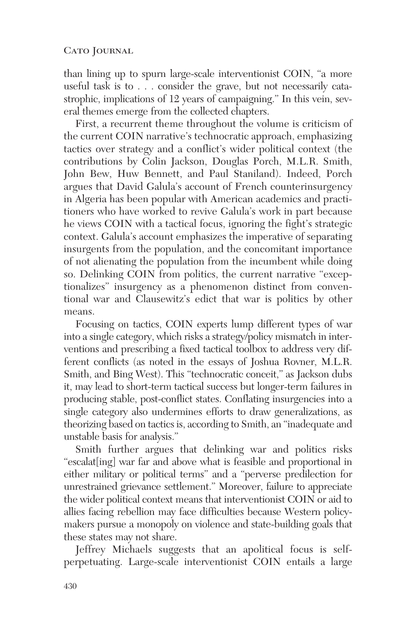than lining up to spurn large-scale interventionist COIN, "a more useful task is to . . . consider the grave, but not necessarily catastrophic, implications of 12 years of campaigning." In this vein, several themes emerge from the collected chapters.

First, a recurrent theme throughout the volume is criticism of the current COIN narrative's technocratic approach, emphasizing tactics over strategy and a conflict's wider political context (the contributions by Colin Jackson, Douglas Porch, M.L.R. Smith, John Bew, Huw Bennett, and Paul Staniland). Indeed, Porch argues that David Galula's account of French counterinsurgency in Algeria has been popular with American academics and practitioners who have worked to revive Galula's work in part because he views COIN with a tactical focus, ignoring the fight's strategic context. Galula's account emphasizes the imperative of separating insurgents from the population, and the concomitant importance of not alienating the population from the incumbent while doing so. Delinking COIN from politics, the current narrative "exceptionalizes" insurgency as a phenomenon distinct from conventional war and Clausewitz's edict that war is politics by other means.

Focusing on tactics, COIN experts lump different types of war into a single category, which risks a strategy/policy mismatch in interventions and prescribing a fixed tactical toolbox to address very different conflicts (as noted in the essays of Joshua Rovner, M.L.R. Smith, and Bing West). This "technocratic conceit," as Jackson dubs it, may lead to short-term tactical success but longer-term failures in producing stable, post-conflict states. Conflating insurgencies into a single category also undermines efforts to draw generalizations, as theorizing based on tactics is, according to Smith, an "inadequate and unstable basis for analysis."

Smith further argues that delinking war and politics risks "escalat[ing] war far and above what is feasible and proportional in either military or political terms" and a "perverse predilection for unrestrained grievance settlement." Moreover, failure to appreciate the wider political context means that interventionist COIN or aid to allies facing rebellion may face difficulties because Western policymakers pursue a monopoly on violence and state-building goals that these states may not share.

Jeffrey Michaels suggests that an apolitical focus is selfperpetuating. Large-scale interventionist COIN entails a large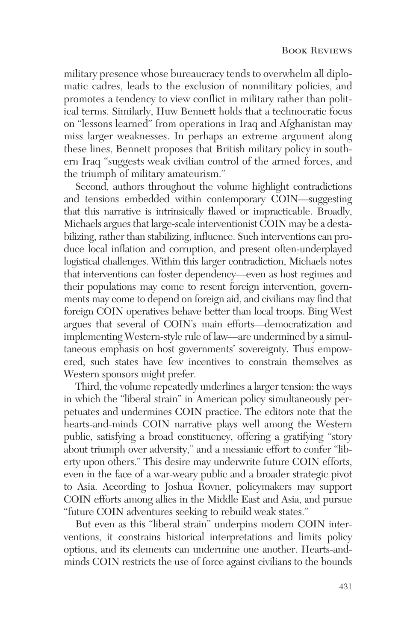military presence whose bureaucracy tends to overwhelm all diplomatic cadres, leads to the exclusion of nonmilitary policies, and promotes a tendency to view conflict in military rather than political terms. Similarly, Huw Bennett holds that a technocratic focus on "lessons learned" from operations in Iraq and Afghanistan may miss larger weaknesses. In perhaps an extreme argument along these lines, Bennett proposes that British military policy in southern Iraq "suggests weak civilian control of the armed forces, and the triumph of military amateurism."

Second, authors throughout the volume highlight contradictions and tensions embedded within contemporary COIN—suggesting that this narrative is intrinsically flawed or impracticable. Broadly, Michaels argues that large-scale interventionist COIN may be a destabilizing, rather than stabilizing, influence. Such interventions can produce local inflation and corruption, and present often-underplayed logistical challenges. Within this larger contradiction, Michaels notes that interventions can foster dependency—even as host regimes and their populations may come to resent foreign intervention, governments may come to depend on foreign aid, and civilians may find that foreign COIN operatives behave better than local troops. Bing West argues that several of COIN's main efforts—democratization and implementing Western-style rule of law—are undermined by a simultaneous emphasis on host governments' sovereignty. Thus empowered, such states have few incentives to constrain themselves as Western sponsors might prefer.

Third, the volume repeatedly underlines a larger tension: the ways in which the "liberal strain" in American policy simultaneously perpetuates and undermines COIN practice. The editors note that the hearts-and-minds COIN narrative plays well among the Western public, satisfying a broad constituency, offering a gratifying "story about triumph over adversity," and a messianic effort to confer "liberty upon others." This desire may underwrite future COIN efforts, even in the face of a war-weary public and a broader strategic pivot to Asia. According to Joshua Rovner, policymakers may support COIN efforts among allies in the Middle East and Asia, and pursue "future COIN adventures seeking to rebuild weak states."

But even as this "liberal strain" underpins modern COIN interventions, it constrains historical interpretations and limits policy options, and its elements can undermine one another. Hearts-andminds COIN restricts the use of force against civilians to the bounds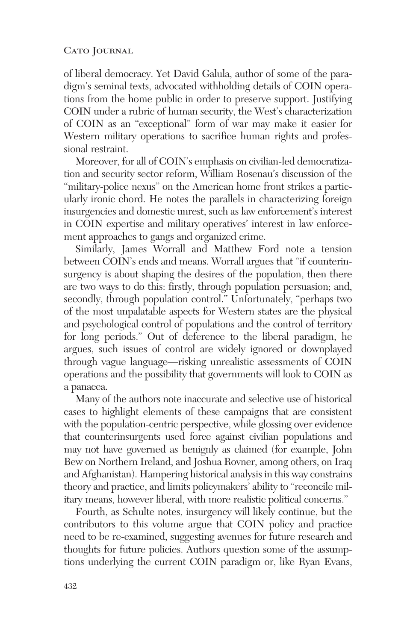## CATO JOURNAL

of liberal democracy. Yet David Galula, author of some of the paradigm's seminal texts, advocated withholding details of COIN operations from the home public in order to preserve support. Justifying COIN under a rubric of human security, the West's characterization of COIN as an "exceptional" form of war may make it easier for Western military operations to sacrifice human rights and professional restraint.

Moreover, for all of COIN's emphasis on civilian-led democratization and security sector reform, William Rosenau's discussion of the "military-police nexus" on the American home front strikes a particularly ironic chord. He notes the parallels in characterizing foreign insurgencies and domestic unrest, such as law enforcement's interest in COIN expertise and military operatives' interest in law enforcement approaches to gangs and organized crime.

Similarly, James Worrall and Matthew Ford note a tension between COIN's ends and means. Worrall argues that "if counterinsurgency is about shaping the desires of the population, then there are two ways to do this: firstly, through population persuasion; and, secondly, through population control." Unfortunately, "perhaps two of the most unpalatable aspects for Western states are the physical and psychological control of populations and the control of territory for long periods." Out of deference to the liberal paradigm, he argues, such issues of control are widely ignored or downplayed through vague language—risking unrealistic assessments of COIN operations and the possibility that governments will look to COIN as a panacea.

Many of the authors note inaccurate and selective use of historical cases to highlight elements of these campaigns that are consistent with the population-centric perspective, while glossing over evidence that counterinsurgents used force against civilian populations and may not have governed as benignly as claimed (for example, John Bew on Northern Ireland, and Joshua Rovner, among others, on Iraq and Afghanistan). Hampering historical analysis in this way constrains theory and practice, and limits policymakers' ability to "reconcile military means, however liberal, with more realistic political concerns."

Fourth, as Schulte notes, insurgency will likely continue, but the contributors to this volume argue that COIN policy and practice need to be re-examined, suggesting avenues for future research and thoughts for future policies. Authors question some of the assumptions underlying the current COIN paradigm or, like Ryan Evans,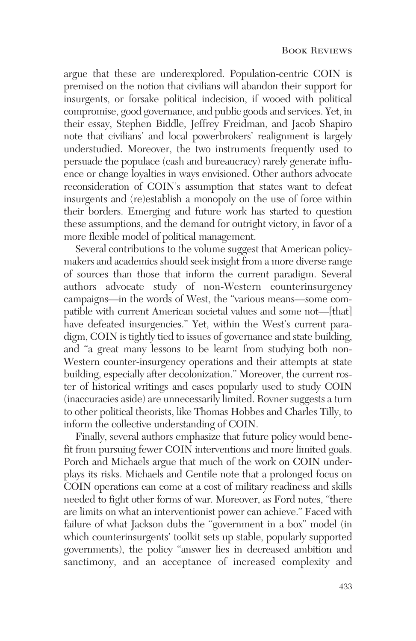argue that these are underexplored. Population-centric COIN is premised on the notion that civilians will abandon their support for insurgents, or forsake political indecision, if wooed with political compromise, good governance, and public goods and services. Yet, in their essay, Stephen Biddle, Jeffrey Freidman, and Jacob Shapiro note that civilians' and local powerbrokers' realignment is largely understudied. Moreover, the two instruments frequently used to persuade the populace (cash and bureaucracy) rarely generate influence or change loyalties in ways envisioned. Other authors advocate reconsideration of COIN's assumption that states want to defeat insurgents and (re)establish a monopoly on the use of force within their borders. Emerging and future work has started to question these assumptions, and the demand for outright victory, in favor of a more flexible model of political management.

Several contributions to the volume suggest that American policymakers and academics should seek insight from a more diverse range of sources than those that inform the current paradigm. Several authors advocate study of non-Western counterinsurgency campaigns—in the words of West, the "various means—some compatible with current American societal values and some not—[that] have defeated insurgencies." Yet, within the West's current paradigm, COIN is tightly tied to issues of governance and state building, and "a great many lessons to be learnt from studying both non-Western counter-insurgency operations and their attempts at state building, especially after decolonization." Moreover, the current roster of historical writings and cases popularly used to study COIN (inaccuracies aside) are unnecessarily limited. Rovner suggests a turn to other political theorists, like Thomas Hobbes and Charles Tilly, to inform the collective understanding of COIN.

Finally, several authors emphasize that future policy would benefit from pursuing fewer COIN interventions and more limited goals. Porch and Michaels argue that much of the work on COIN underplays its risks. Michaels and Gentile note that a prolonged focus on COIN operations can come at a cost of military readiness and skills needed to fight other forms of war. Moreover, as Ford notes, "there are limits on what an interventionist power can achieve." Faced with failure of what Jackson dubs the "government in a box" model (in which counterinsurgents' toolkit sets up stable, popularly supported governments), the policy "answer lies in decreased ambition and sanctimony, and an acceptance of increased complexity and